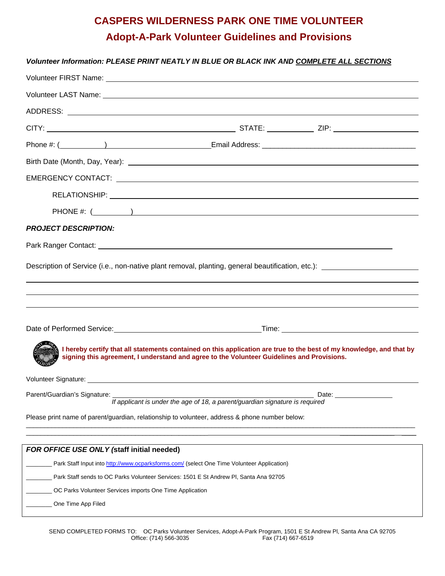# **CASPERS WILDERNESS PARK ONE TIME VOLUNTEER Adopt-A-Park Volunteer Guidelines and Provisions**

### *Volunteer Information: PLEASE PRINT NEATLY IN BLUE OR BLACK INK AND COMPLETE ALL SECTIONS*

|                                                                                                                | Volunteer LAST Name: University of the Contract of the Contract of the Contract of the Contract of the Contract of the Contract of the Contract of the Contract of the Contract of the Contract of the Contract of the Contrac |
|----------------------------------------------------------------------------------------------------------------|--------------------------------------------------------------------------------------------------------------------------------------------------------------------------------------------------------------------------------|
|                                                                                                                |                                                                                                                                                                                                                                |
|                                                                                                                |                                                                                                                                                                                                                                |
|                                                                                                                |                                                                                                                                                                                                                                |
|                                                                                                                |                                                                                                                                                                                                                                |
|                                                                                                                |                                                                                                                                                                                                                                |
|                                                                                                                |                                                                                                                                                                                                                                |
|                                                                                                                |                                                                                                                                                                                                                                |
| <b>PROJECT DESCRIPTION:</b>                                                                                    |                                                                                                                                                                                                                                |
|                                                                                                                |                                                                                                                                                                                                                                |
|                                                                                                                |                                                                                                                                                                                                                                |
| Description of Service (i.e., non-native plant removal, planting, general beautification, etc.): _____________ |                                                                                                                                                                                                                                |
|                                                                                                                |                                                                                                                                                                                                                                |
|                                                                                                                |                                                                                                                                                                                                                                |
|                                                                                                                | ,我们也不会有什么?""我们的人,我们也不会有什么?""我们的人,我们也不会有什么?""我们的人,我们也不会有什么?""我们的人,我们也不会有什么?""我们的人                                                                                                                                               |
|                                                                                                                | Date of Performed Service: No. 2014 19:00 19:00 19:00 19:00 19:00 19:00 19:00 19:00 19:00 19:00 19:00 19:00 19:00 19:00 19:00 19:00 19:00 19:00 19:00 19:00 19:00 19:00 19:00 19:00 19:00 19:00 19:00 19:00 19:00 19:00 19:00  |
|                                                                                                                |                                                                                                                                                                                                                                |
|                                                                                                                | I hereby certify that all statements contained on this application are true to the best of my knowledge, and that by<br>signing this agreement, I understand and agree to the Volunteer Guidelines and Provisions.             |
|                                                                                                                |                                                                                                                                                                                                                                |
|                                                                                                                |                                                                                                                                                                                                                                |
| Parent/Guardian's Signature:                                                                                   | Date:<br>If applicant is under the age of 18, a parent/guardian signature is required                                                                                                                                          |
| Please print name of parent/guardian, relationship to volunteer, address & phone number below:                 |                                                                                                                                                                                                                                |
|                                                                                                                |                                                                                                                                                                                                                                |
| FOR OFFICE USE ONLY (staff initial needed)                                                                     |                                                                                                                                                                                                                                |
| Park Staff Input into http://www.ocparksforms.com/ (select One Time Volunteer Application)                     |                                                                                                                                                                                                                                |
| Park Staff sends to OC Parks Volunteer Services: 1501 E St Andrew PI, Santa Ana 92705                          |                                                                                                                                                                                                                                |
| OC Parks Volunteer Services imports One Time Application                                                       |                                                                                                                                                                                                                                |
| One Time App Filed                                                                                             |                                                                                                                                                                                                                                |